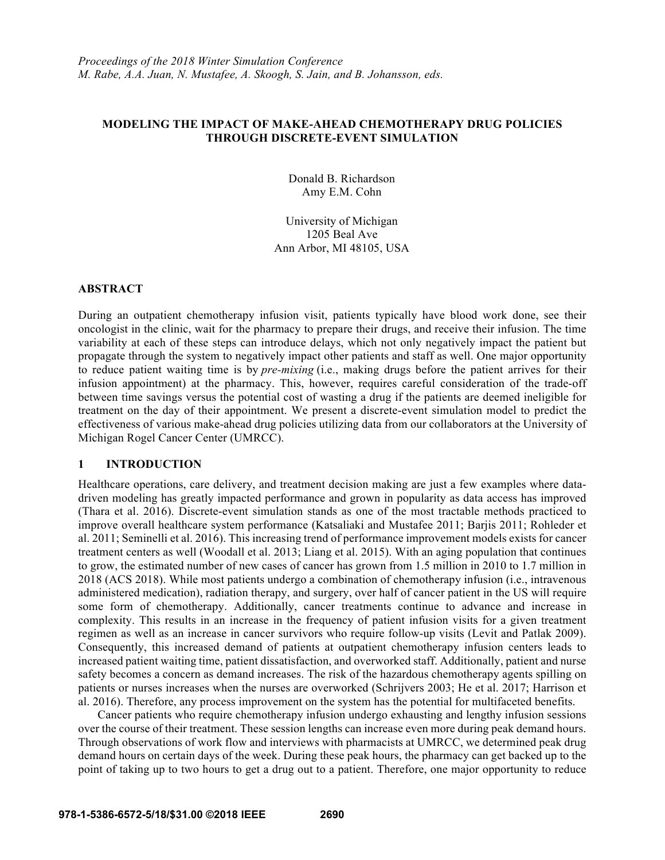# **MODELING THE IMPACT OF MAKE-AHEAD CHEMOTHERAPY DRUG POLICIES THROUGH DISCRETE-EVENT SIMULATION**

Donald B. Richardson Amy E.M. Cohn

University of Michigan 1205 Beal Ave Ann Arbor, MI 48105, USA

### **ABSTRACT**

During an outpatient chemotherapy infusion visit, patients typically have blood work done, see their oncologist in the clinic, wait for the pharmacy to prepare their drugs, and receive their infusion. The time variability at each of these steps can introduce delays, which not only negatively impact the patient but propagate through the system to negatively impact other patients and staff as well. One major opportunity to reduce patient waiting time is by *pre-mixing* (i.e., making drugs before the patient arrives for their infusion appointment) at the pharmacy. This, however, requires careful consideration of the trade-off between time savings versus the potential cost of wasting a drug if the patients are deemed ineligible for treatment on the day of their appointment. We present a discrete-event simulation model to predict the effectiveness of various make-ahead drug policies utilizing data from our collaborators at the University of Michigan Rogel Cancer Center (UMRCC).

# **1 INTRODUCTION**

Healthcare operations, care delivery, and treatment decision making are just a few examples where datadriven modeling has greatly impacted performance and grown in popularity as data access has improved (Thara et al. 2016). Discrete-event simulation stands as one of the most tractable methods practiced to improve overall healthcare system performance (Katsaliaki and Mustafee 2011; Barjis 2011; Rohleder et al. 2011; Seminelli et al. 2016). This increasing trend of performance improvement models exists for cancer treatment centers as well (Woodall et al. 2013; Liang et al. 2015). With an aging population that continues to grow, the estimated number of new cases of cancer has grown from 1.5 million in 2010 to 1.7 million in 2018 (ACS 2018). While most patients undergo a combination of chemotherapy infusion (i.e., intravenous administered medication), radiation therapy, and surgery, over half of cancer patient in the US will require some form of chemotherapy. Additionally, cancer treatments continue to advance and increase in complexity. This results in an increase in the frequency of patient infusion visits for a given treatment regimen as well as an increase in cancer survivors who require follow-up visits (Levit and Patlak 2009). Consequently, this increased demand of patients at outpatient chemotherapy infusion centers leads to increased patient waiting time, patient dissatisfaction, and overworked staff. Additionally, patient and nurse safety becomes a concern as demand increases. The risk of the hazardous chemotherapy agents spilling on patients or nurses increases when the nurses are overworked (Schrijvers 2003; He et al. 2017; Harrison et al. 2016). Therefore, any process improvement on the system has the potential for multifaceted benefits.

Cancer patients who require chemotherapy infusion undergo exhausting and lengthy infusion sessions over the course of their treatment. These session lengths can increase even more during peak demand hours. Through observations of work flow and interviews with pharmacists at UMRCC, we determined peak drug demand hours on certain days of the week. During these peak hours, the pharmacy can get backed up to the point of taking up to two hours to get a drug out to a patient. Therefore, one major opportunity to reduce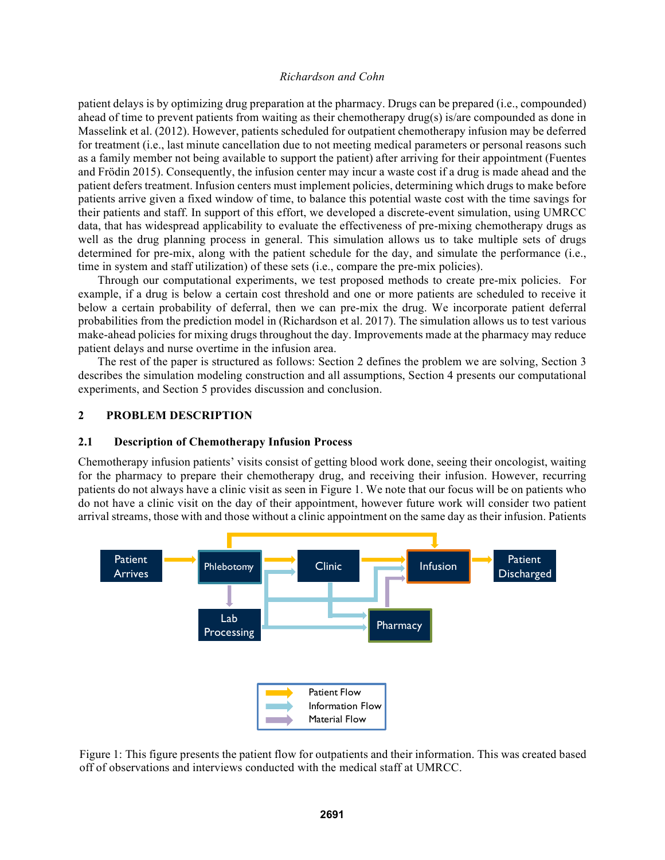patient delays is by optimizing drug preparation at the pharmacy. Drugs can be prepared (i.e., compounded) ahead of time to prevent patients from waiting as their chemotherapy drug(s) is/are compounded as done in Masselink et al. (2012). However, patients scheduled for outpatient chemotherapy infusion may be deferred for treatment (i.e., last minute cancellation due to not meeting medical parameters or personal reasons such as a family member not being available to support the patient) after arriving for their appointment (Fuentes and Frödin 2015). Consequently, the infusion center may incur a waste cost if a drug is made ahead and the patient defers treatment. Infusion centers must implement policies, determining which drugs to make before patients arrive given a fixed window of time, to balance this potential waste cost with the time savings for their patients and staff. In support of this effort, we developed a discrete-event simulation, using UMRCC data, that has widespread applicability to evaluate the effectiveness of pre-mixing chemotherapy drugs as well as the drug planning process in general. This simulation allows us to take multiple sets of drugs determined for pre-mix, along with the patient schedule for the day, and simulate the performance (i.e., time in system and staff utilization) of these sets (i.e., compare the pre-mix policies).

Through our computational experiments, we test proposed methods to create pre-mix policies. For example, if a drug is below a certain cost threshold and one or more patients are scheduled to receive it below a certain probability of deferral, then we can pre-mix the drug. We incorporate patient deferral probabilities from the prediction model in (Richardson et al. 2017). The simulation allows us to test various make-ahead policies for mixing drugs throughout the day. Improvements made at the pharmacy may reduce patient delays and nurse overtime in the infusion area.

The rest of the paper is structured as follows: Section 2 defines the problem we are solving, Section 3 describes the simulation modeling construction and all assumptions, Section 4 presents our computational experiments, and Section 5 provides discussion and conclusion.

### **2 PROBLEM DESCRIPTION**

#### **2.1 Description of Chemotherapy Infusion Process**

Chemotherapy infusion patients' visits consist of getting blood work done, seeing their oncologist, waiting for the pharmacy to prepare their chemotherapy drug, and receiving their infusion. However, recurring patients do not always have a clinic visit as seen in Figure 1. We note that our focus will be on patients who do not have a clinic visit on the day of their appointment, however future work will consider two patient arrival streams, those with and those without a clinic appointment on the same day as their infusion. Patients



Figure 1: This figure presents the patient flow for outpatients and their information. This was created based off of observations and interviews conducted with the medical staff at UMRCC.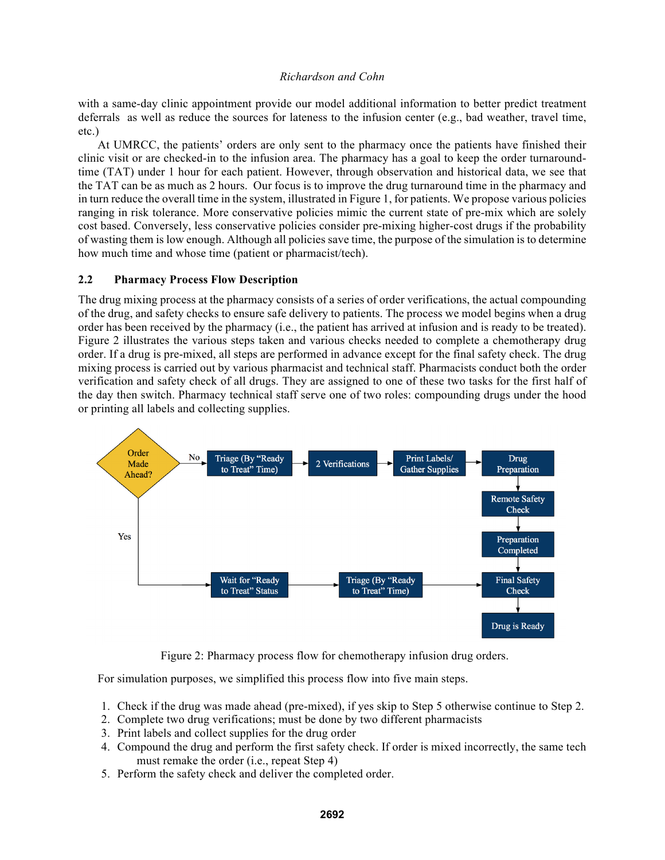with a same-day clinic appointment provide our model additional information to better predict treatment deferrals as well as reduce the sources for lateness to the infusion center (e.g., bad weather, travel time, etc.)

At UMRCC, the patients' orders are only sent to the pharmacy once the patients have finished their clinic visit or are checked-in to the infusion area. The pharmacy has a goal to keep the order turnaroundtime (TAT) under 1 hour for each patient. However, through observation and historical data, we see that the TAT can be as much as 2 hours. Our focus is to improve the drug turnaround time in the pharmacy and in turn reduce the overall time in the system, illustrated in Figure 1, for patients. We propose various policies ranging in risk tolerance. More conservative policies mimic the current state of pre-mix which are solely cost based. Conversely, less conservative policies consider pre-mixing higher-cost drugs if the probability of wasting them is low enough. Although all policies save time, the purpose of the simulation is to determine how much time and whose time (patient or pharmacist/tech).

# **2.2 Pharmacy Process Flow Description**

The drug mixing process at the pharmacy consists of a series of order verifications, the actual compounding of the drug, and safety checks to ensure safe delivery to patients. The process we model begins when a drug order has been received by the pharmacy (i.e., the patient has arrived at infusion and is ready to be treated). Figure 2 illustrates the various steps taken and various checks needed to complete a chemotherapy drug order. If a drug is pre-mixed, all steps are performed in advance except for the final safety check. The drug mixing process is carried out by various pharmacist and technical staff. Pharmacists conduct both the order verification and safety check of all drugs. They are assigned to one of these two tasks for the first half of the day then switch. Pharmacy technical staff serve one of two roles: compounding drugs under the hood or printing all labels and collecting supplies.



Figure 2: Pharmacy process flow for chemotherapy infusion drug orders.

For simulation purposes, we simplified this process flow into five main steps.

- 1. Check if the drug was made ahead (pre-mixed), if yes skip to Step 5 otherwise continue to Step 2.
- 2. Complete two drug verifications; must be done by two different pharmacists
- 3. Print labels and collect supplies for the drug order
- 4. Compound the drug and perform the first safety check. If order is mixed incorrectly, the same tech must remake the order (i.e., repeat Step 4)
- 5. Perform the safety check and deliver the completed order.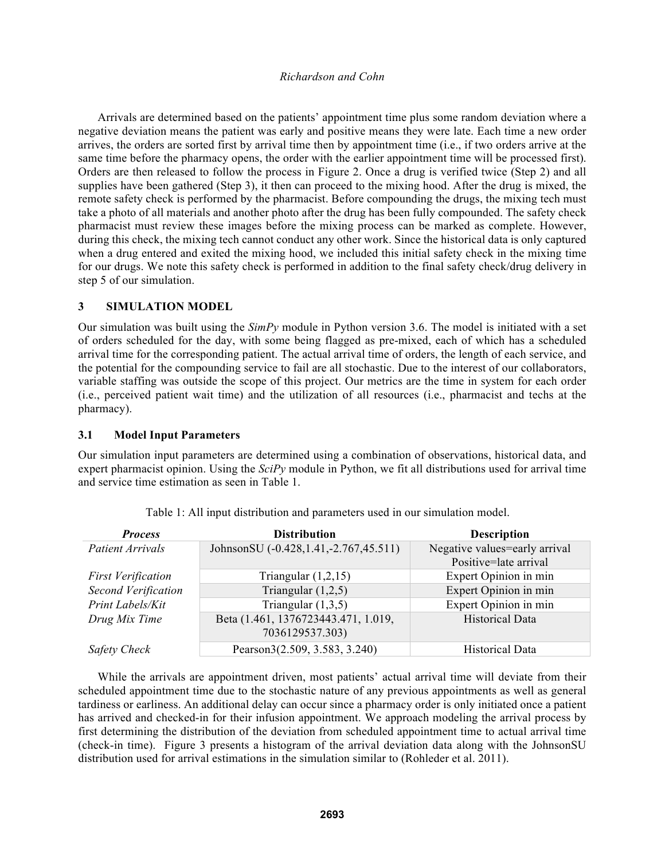Arrivals are determined based on the patients' appointment time plus some random deviation where a negative deviation means the patient was early and positive means they were late. Each time a new order arrives, the orders are sorted first by arrival time then by appointment time (i.e., if two orders arrive at the same time before the pharmacy opens, the order with the earlier appointment time will be processed first). Orders are then released to follow the process in Figure 2. Once a drug is verified twice (Step 2) and all supplies have been gathered (Step 3), it then can proceed to the mixing hood. After the drug is mixed, the remote safety check is performed by the pharmacist. Before compounding the drugs, the mixing tech must take a photo of all materials and another photo after the drug has been fully compounded. The safety check pharmacist must review these images before the mixing process can be marked as complete. However, during this check, the mixing tech cannot conduct any other work. Since the historical data is only captured when a drug entered and exited the mixing hood, we included this initial safety check in the mixing time for our drugs. We note this safety check is performed in addition to the final safety check/drug delivery in step 5 of our simulation.

### **3 SIMULATION MODEL**

Our simulation was built using the *SimPy* module in Python version 3.6. The model is initiated with a set of orders scheduled for the day, with some being flagged as pre-mixed, each of which has a scheduled arrival time for the corresponding patient. The actual arrival time of orders, the length of each service, and the potential for the compounding service to fail are all stochastic. Due to the interest of our collaborators, variable staffing was outside the scope of this project. Our metrics are the time in system for each order (i.e., perceived patient wait time) and the utilization of all resources (i.e., pharmacist and techs at the pharmacy).

#### **3.1 Model Input Parameters**

Our simulation input parameters are determined using a combination of observations, historical data, and expert pharmacist opinion. Using the *SciPy* module in Python, we fit all distributions used for arrival time and service time estimation as seen in Table 1.

| <b>Process</b>            | <b>Distribution</b>                      | <b>Description</b>            |
|---------------------------|------------------------------------------|-------------------------------|
| <b>Patient Arrivals</b>   | JohnsonSU (-0.428, 1.41, -2.767, 45.511) | Negative values=early arrival |
|                           |                                          | Positive=late arrival         |
| <b>First Verification</b> | Triangular $(1,2,15)$                    | Expert Opinion in min         |
| Second Verification       | Triangular $(1,2,5)$                     | Expert Opinion in min         |
| Print Labels/Kit          | Triangular $(1,3,5)$                     | Expert Opinion in min         |
| Drug Mix Time             | Beta (1.461, 1376723443.471, 1.019,      | <b>Historical Data</b>        |
|                           | 7036129537.303)                          |                               |
| <b>Safety Check</b>       | Pearson3(2.509, 3.583, 3.240)            | <b>Historical Data</b>        |

Table 1: All input distribution and parameters used in our simulation model.

While the arrivals are appointment driven, most patients' actual arrival time will deviate from their scheduled appointment time due to the stochastic nature of any previous appointments as well as general tardiness or earliness. An additional delay can occur since a pharmacy order is only initiated once a patient has arrived and checked-in for their infusion appointment. We approach modeling the arrival process by first determining the distribution of the deviation from scheduled appointment time to actual arrival time (check-in time). Figure 3 presents a histogram of the arrival deviation data along with the JohnsonSU distribution used for arrival estimations in the simulation similar to (Rohleder et al. 2011).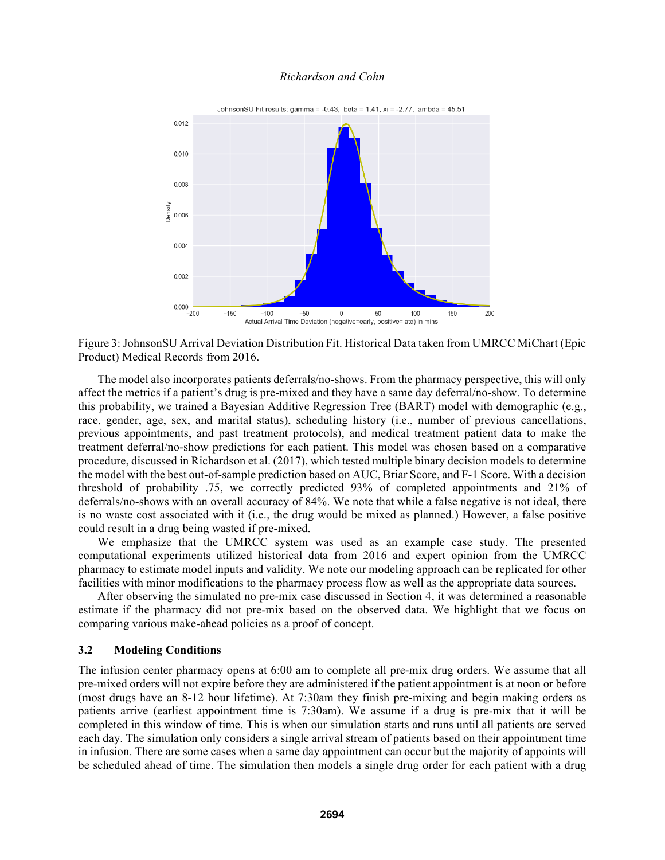

Figure 3: JohnsonSU Arrival Deviation Distribution Fit. Historical Data taken from UMRCC MiChart (Epic Product) Medical Records from 2016.

The model also incorporates patients deferrals/no-shows. From the pharmacy perspective, this will only affect the metrics if a patient's drug is pre-mixed and they have a same day deferral/no-show. To determine this probability, we trained a Bayesian Additive Regression Tree (BART) model with demographic (e.g., race, gender, age, sex, and marital status), scheduling history (i.e., number of previous cancellations, previous appointments, and past treatment protocols), and medical treatment patient data to make the treatment deferral/no-show predictions for each patient. This model was chosen based on a comparative procedure, discussed in Richardson et al. (2017), which tested multiple binary decision models to determine the model with the best out-of-sample prediction based on AUC, Briar Score, and F-1 Score. With a decision threshold of probability .75, we correctly predicted 93% of completed appointments and 21% of deferrals/no-shows with an overall accuracy of 84%. We note that while a false negative is not ideal, there is no waste cost associated with it (i.e., the drug would be mixed as planned.) However, a false positive could result in a drug being wasted if pre-mixed.

We emphasize that the UMRCC system was used as an example case study. The presented computational experiments utilized historical data from 2016 and expert opinion from the UMRCC pharmacy to estimate model inputs and validity. We note our modeling approach can be replicated for other facilities with minor modifications to the pharmacy process flow as well as the appropriate data sources.

After observing the simulated no pre-mix case discussed in Section 4, it was determined a reasonable estimate if the pharmacy did not pre-mix based on the observed data. We highlight that we focus on comparing various make-ahead policies as a proof of concept.

#### **3.2 Modeling Conditions**

The infusion center pharmacy opens at 6:00 am to complete all pre-mix drug orders. We assume that all pre-mixed orders will not expire before they are administered if the patient appointment is at noon or before (most drugs have an 8-12 hour lifetime). At 7:30am they finish pre-mixing and begin making orders as patients arrive (earliest appointment time is 7:30am). We assume if a drug is pre-mix that it will be completed in this window of time. This is when our simulation starts and runs until all patients are served each day. The simulation only considers a single arrival stream of patients based on their appointment time in infusion. There are some cases when a same day appointment can occur but the majority of appoints will be scheduled ahead of time. The simulation then models a single drug order for each patient with a drug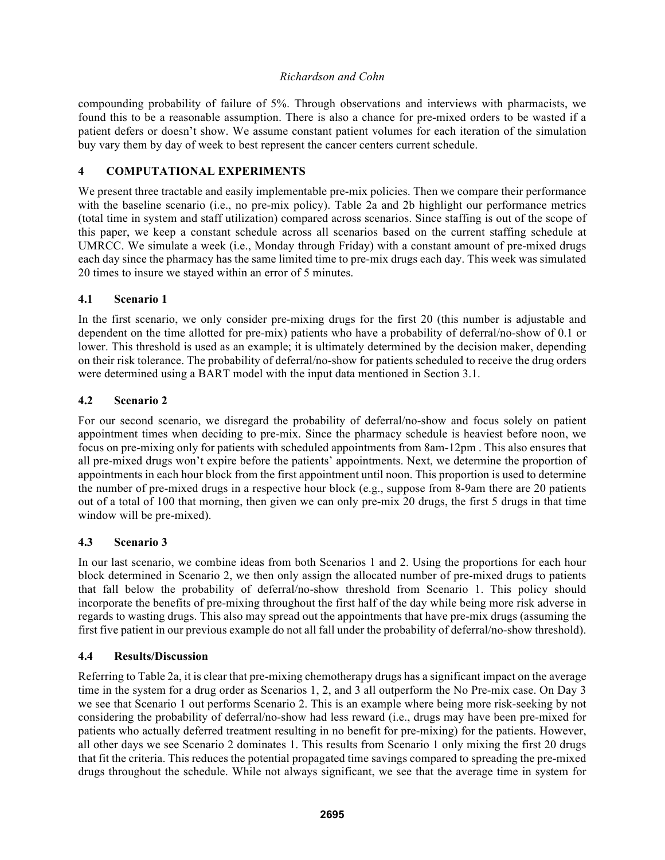compounding probability of failure of 5%. Through observations and interviews with pharmacists, we found this to be a reasonable assumption. There is also a chance for pre-mixed orders to be wasted if a patient defers or doesn't show. We assume constant patient volumes for each iteration of the simulation buy vary them by day of week to best represent the cancer centers current schedule.

# **4 COMPUTATIONAL EXPERIMENTS**

We present three tractable and easily implementable pre-mix policies. Then we compare their performance with the baseline scenario (i.e., no pre-mix policy). Table 2a and 2b highlight our performance metrics (total time in system and staff utilization) compared across scenarios. Since staffing is out of the scope of this paper, we keep a constant schedule across all scenarios based on the current staffing schedule at UMRCC. We simulate a week (i.e., Monday through Friday) with a constant amount of pre-mixed drugs each day since the pharmacy has the same limited time to pre-mix drugs each day. This week was simulated 20 times to insure we stayed within an error of 5 minutes.

# **4.1 Scenario 1**

In the first scenario, we only consider pre-mixing drugs for the first 20 (this number is adjustable and dependent on the time allotted for pre-mix) patients who have a probability of deferral/no-show of 0.1 or lower. This threshold is used as an example; it is ultimately determined by the decision maker, depending on their risk tolerance. The probability of deferral/no-show for patients scheduled to receive the drug orders were determined using a BART model with the input data mentioned in Section 3.1.

# **4.2 Scenario 2**

For our second scenario, we disregard the probability of deferral/no-show and focus solely on patient appointment times when deciding to pre-mix. Since the pharmacy schedule is heaviest before noon, we focus on pre-mixing only for patients with scheduled appointments from 8am-12pm . This also ensures that all pre-mixed drugs won't expire before the patients' appointments. Next, we determine the proportion of appointments in each hour block from the first appointment until noon. This proportion is used to determine the number of pre-mixed drugs in a respective hour block (e.g., suppose from 8-9am there are 20 patients out of a total of 100 that morning, then given we can only pre-mix 20 drugs, the first 5 drugs in that time window will be pre-mixed).

# **4.3 Scenario 3**

In our last scenario, we combine ideas from both Scenarios 1 and 2. Using the proportions for each hour block determined in Scenario 2, we then only assign the allocated number of pre-mixed drugs to patients that fall below the probability of deferral/no-show threshold from Scenario 1. This policy should incorporate the benefits of pre-mixing throughout the first half of the day while being more risk adverse in regards to wasting drugs. This also may spread out the appointments that have pre-mix drugs (assuming the first five patient in our previous example do not all fall under the probability of deferral/no-show threshold).

# **4.4 Results/Discussion**

Referring to Table 2a, it is clear that pre-mixing chemotherapy drugs has a significant impact on the average time in the system for a drug order as Scenarios 1, 2, and 3 all outperform the No Pre-mix case. On Day 3 we see that Scenario 1 out performs Scenario 2. This is an example where being more risk-seeking by not considering the probability of deferral/no-show had less reward (i.e., drugs may have been pre-mixed for patients who actually deferred treatment resulting in no benefit for pre-mixing) for the patients. However, all other days we see Scenario 2 dominates 1. This results from Scenario 1 only mixing the first 20 drugs that fit the criteria. This reduces the potential propagated time savings compared to spreading the pre-mixed drugs throughout the schedule. While not always significant, we see that the average time in system for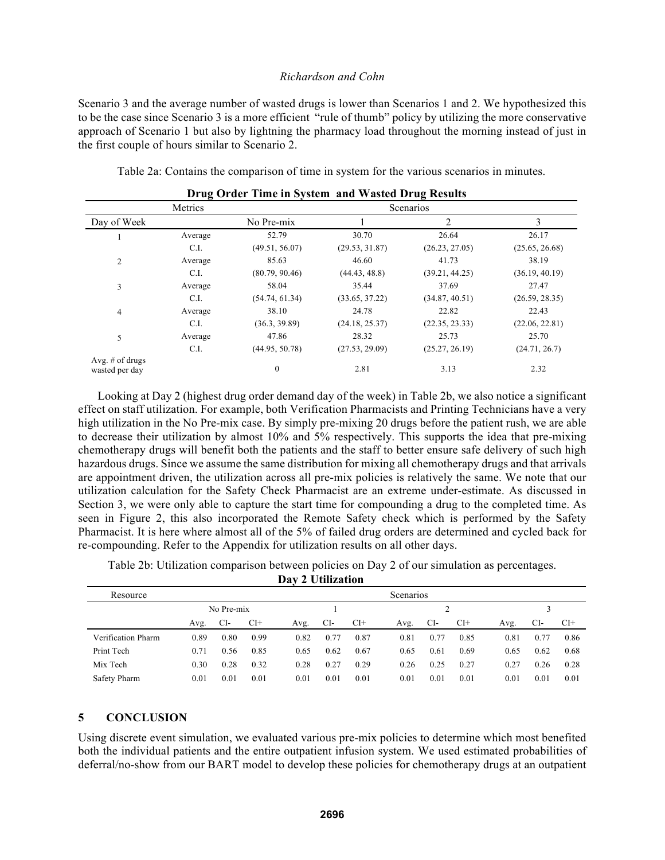Scenario 3 and the average number of wasted drugs is lower than Scenarios 1 and 2. We hypothesized this to be the case since Scenario 3 is a more efficient "rule of thumb" policy by utilizing the more conservative approach of Scenario 1 but also by lightning the pharmacy load throughout the morning instead of just in the first couple of hours similar to Scenario 2.

Table 2a: Contains the comparison of time in system for the various scenarios in minutes.

|                                     | Metrics |                |                | Scenarios      |                |  |  |  |
|-------------------------------------|---------|----------------|----------------|----------------|----------------|--|--|--|
| Day of Week                         |         | No Pre-mix     |                | $\mathfrak{D}$ | 3              |  |  |  |
|                                     | Average | 52.79          | 30.70          | 26.64          | 26.17          |  |  |  |
|                                     | C.I.    | (49.51, 56.07) | (29.53, 31.87) | (26.23, 27.05) | (25.65, 26.68) |  |  |  |
| $\overline{2}$                      | Average | 85.63          | 46.60          | 41.73          | 38.19          |  |  |  |
| C.I.                                |         | (80.79, 90.46) | (44.43, 48.8)  | (39.21, 44.25) | (36.19, 40.19) |  |  |  |
| 3                                   | Average | 58.04          | 35.44          | 37.69          | 27.47          |  |  |  |
|                                     | C.I.    | (54.74, 61.34) | (33.65, 37.22) | (34.87, 40.51) | (26.59, 28.35) |  |  |  |
| 4                                   | Average | 38.10          | 24.78          | 22.82          | 22.43          |  |  |  |
|                                     | C.I.    | (36.3, 39.89)  | (24.18, 25.37) | (22.35, 23.33) | (22.06, 22.81) |  |  |  |
| 5                                   | Average | 47.86          | 28.32          | 25.73          | 25.70          |  |  |  |
|                                     | C.I.    | (44.95, 50.78) | (27.53, 29.09) | (25.27, 26.19) | (24.71, 26.7)  |  |  |  |
| Avg. $#$ of drugs<br>wasted per day |         | $\mathbf{0}$   | 2.81           | 3.13           | 2.32           |  |  |  |

**Drug Order Time in System and Wasted Drug Results**

Looking at Day 2 (highest drug order demand day of the week) in Table 2b, we also notice a significant effect on staff utilization. For example, both Verification Pharmacists and Printing Technicians have a very high utilization in the No Pre-mix case. By simply pre-mixing 20 drugs before the patient rush, we are able to decrease their utilization by almost 10% and 5% respectively. This supports the idea that pre-mixing chemotherapy drugs will benefit both the patients and the staff to better ensure safe delivery of such high hazardous drugs. Since we assume the same distribution for mixing all chemotherapy drugs and that arrivals are appointment driven, the utilization across all pre-mix policies is relatively the same. We note that our utilization calculation for the Safety Check Pharmacist are an extreme under-estimate. As discussed in Section 3, we were only able to capture the start time for compounding a drug to the completed time. As seen in Figure 2, this also incorporated the Remote Safety check which is performed by the Safety Pharmacist. It is here where almost all of the 5% of failed drug orders are determined and cycled back for re-compounding. Refer to the Appendix for utilization results on all other days.

Table 2b: Utilization comparison between policies on Day 2 of our simulation as percentages.

|  | Day 2 Utilization |
|--|-------------------|

| Resource           | Scenarios |            |       |      |      |       |      |      |       |      |      |       |  |  |
|--------------------|-----------|------------|-------|------|------|-------|------|------|-------|------|------|-------|--|--|
|                    |           | No Pre-mix |       |      |      |       |      |      |       |      |      |       |  |  |
|                    | Avg.      | CI-        | $Cl+$ | Avg. | CI-  | $CI+$ | Avg. | CI-  | $CI+$ | Avg. | CI-  | $CI+$ |  |  |
| Verification Pharm | 0.89      | 0.80       | 0.99  | 0.82 | 0.77 | 0.87  | 0.81 | 0.77 | 0.85  | 0.81 | 0.77 | 0.86  |  |  |
| Print Tech         | 0.71      | 0.56       | 0.85  | 0.65 | 0.62 | 0.67  | 0.65 | 0.61 | 0.69  | 0.65 | 0.62 | 0.68  |  |  |
| Mix Tech           | 0.30      | 0.28       | 0.32  | 0.28 | 0.27 | 0.29  | 0.26 | 0.25 | 0.27  | 0.27 | 0.26 | 0.28  |  |  |
| Safety Pharm       | 0.01      | 0.01       | 0.01  | 0.01 | 0.01 | 0.01  | 0.01 | 0.01 | 0.01  | 0.01 | 0.01 | 0.01  |  |  |

# **5 CONCLUSION**

Using discrete event simulation, we evaluated various pre-mix policies to determine which most benefited both the individual patients and the entire outpatient infusion system. We used estimated probabilities of deferral/no-show from our BART model to develop these policies for chemotherapy drugs at an outpatient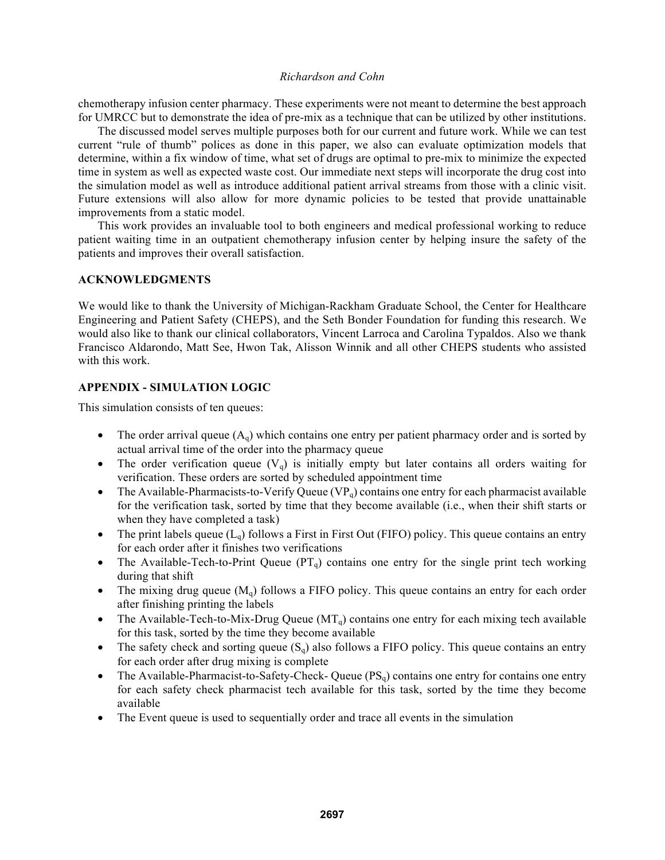chemotherapy infusion center pharmacy. These experiments were not meant to determine the best approach for UMRCC but to demonstrate the idea of pre-mix as a technique that can be utilized by other institutions.

The discussed model serves multiple purposes both for our current and future work. While we can test current "rule of thumb" polices as done in this paper, we also can evaluate optimization models that determine, within a fix window of time, what set of drugs are optimal to pre-mix to minimize the expected time in system as well as expected waste cost. Our immediate next steps will incorporate the drug cost into the simulation model as well as introduce additional patient arrival streams from those with a clinic visit. Future extensions will also allow for more dynamic policies to be tested that provide unattainable improvements from a static model.

This work provides an invaluable tool to both engineers and medical professional working to reduce patient waiting time in an outpatient chemotherapy infusion center by helping insure the safety of the patients and improves their overall satisfaction.

### **ACKNOWLEDGMENTS**

We would like to thank the University of Michigan-Rackham Graduate School, the Center for Healthcare Engineering and Patient Safety (CHEPS), and the Seth Bonder Foundation for funding this research. We would also like to thank our clinical collaborators, Vincent Larroca and Carolina Typaldos. Also we thank Francisco Aldarondo, Matt See, Hwon Tak, Alisson Winnik and all other CHEPS students who assisted with this work.

# **APPENDIX - SIMULATION LOGIC**

This simulation consists of ten queues:

- The order arrival queue  $(A<sub>q</sub>)$  which contains one entry per patient pharmacy order and is sorted by actual arrival time of the order into the pharmacy queue
- The order verification queue  $(V<sub>q</sub>)$  is initially empty but later contains all orders waiting for verification. These orders are sorted by scheduled appointment time
- The Available-Pharmacists-to-Verify Queue ( $VP<sub>q</sub>$ ) contains one entry for each pharmacist available for the verification task, sorted by time that they become available (i.e., when their shift starts or when they have completed a task)
- The print labels queue  $(L_0)$  follows a First in First Out (FIFO) policy. This queue contains an entry for each order after it finishes two verifications
- The Available-Tech-to-Print Queue  $(PT<sub>q</sub>)$  contains one entry for the single print tech working during that shift
- The mixing drug queue  $(M_q)$  follows a FIFO policy. This queue contains an entry for each order after finishing printing the labels
- The Available-Tech-to-Mix-Drug Queue  $(MT_q)$  contains one entry for each mixing tech available for this task, sorted by the time they become available
- The safety check and sorting queue  $(S_q)$  also follows a FIFO policy. This queue contains an entry for each order after drug mixing is complete
- The Available-Pharmacist-to-Safety-Check- Queue  $(PS<sub>a</sub>)$  contains one entry for contains one entry for each safety check pharmacist tech available for this task, sorted by the time they become available
- The Event queue is used to sequentially order and trace all events in the simulation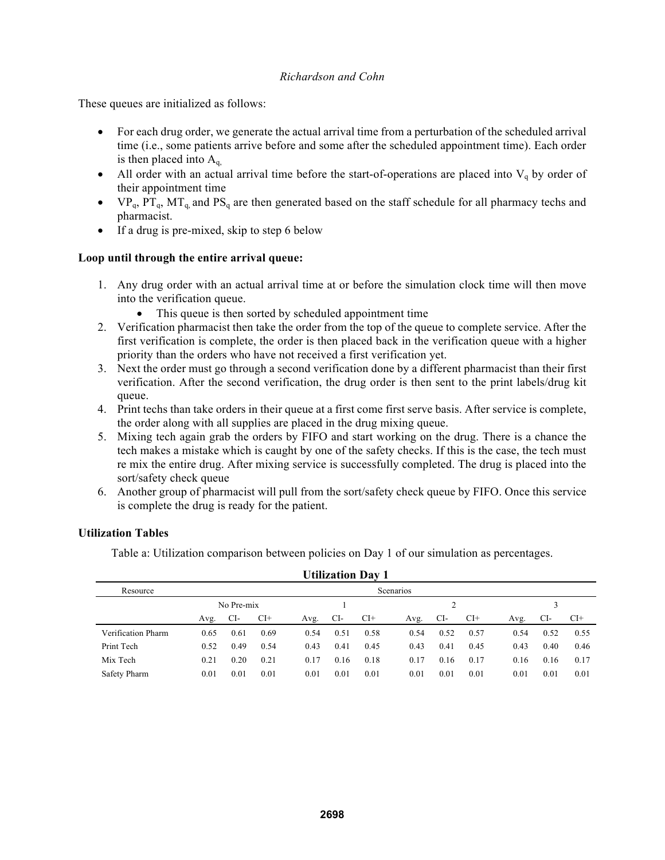These queues are initialized as follows:

- For each drug order, we generate the actual arrival time from a perturbation of the scheduled arrival time (i.e., some patients arrive before and some after the scheduled appointment time). Each order is then placed into  $A<sub>q</sub>$ .
- All order with an actual arrival time before the start-of-operations are placed into  $V_q$  by order of their appointment time
- $VP_q$ ,  $PT_q$ ,  $MT_q$ , and  $PS_q$  are then generated based on the staff schedule for all pharmacy techs and pharmacist.
- If a drug is pre-mixed, skip to step 6 below

# **Loop until through the entire arrival queue:**

- 1. Any drug order with an actual arrival time at or before the simulation clock time will then move into the verification queue.
	- This queue is then sorted by scheduled appointment time
- 2. Verification pharmacist then take the order from the top of the queue to complete service. After the first verification is complete, the order is then placed back in the verification queue with a higher priority than the orders who have not received a first verification yet.
- 3. Next the order must go through a second verification done by a different pharmacist than their first verification. After the second verification, the drug order is then sent to the print labels/drug kit queue.
- 4. Print techs than take orders in their queue at a first come first serve basis. After service is complete, the order along with all supplies are placed in the drug mixing queue.
- 5. Mixing tech again grab the orders by FIFO and start working on the drug. There is a chance the tech makes a mistake which is caught by one of the safety checks. If this is the case, the tech must re mix the entire drug. After mixing service is successfully completed. The drug is placed into the sort/safety check queue
- 6. Another group of pharmacist will pull from the sort/safety check queue by FIFO. Once this service is complete the drug is ready for the patient.

# **Utilization Tables**

Table a: Utilization comparison between policies on Day 1 of our simulation as percentages.

| <b>Utilization Day 1</b> |           |            |       |      |      |       |      |      |       |      |      |       |
|--------------------------|-----------|------------|-------|------|------|-------|------|------|-------|------|------|-------|
| Resource                 | Scenarios |            |       |      |      |       |      |      |       |      |      |       |
|                          |           | No Pre-mix |       |      |      |       |      |      |       |      |      |       |
|                          | Avg.      | CI-        | $CI+$ | Avg. | CI-  | $CI+$ | Avg. | CI-  | $CI+$ | Avg. | CI-  | $CI+$ |
| Verification Pharm       | 0.65      | 0.61       | 0.69  | 0.54 | 0.51 | 0.58  | 0.54 | 0.52 | 0.57  | 0.54 | 0.52 | 0.55  |
| Print Tech               | 0.52      | 0.49       | 0.54  | 0.43 | 0.41 | 0.45  | 0.43 | 0.41 | 0.45  | 0.43 | 0.40 | 0.46  |
| Mix Tech                 | 0.21      | 0.20       | 0.21  | 0.17 | 0.16 | 0.18  | 0.17 | 0.16 | 0.17  | 0.16 | 0.16 | 0.17  |
| Safety Pharm             | 0.01      | 0.01       | 0.01  | 0.01 | 0.01 | 0.01  | 0.01 | 0.01 | 0.01  | 0.01 | 0.01 | 0.01  |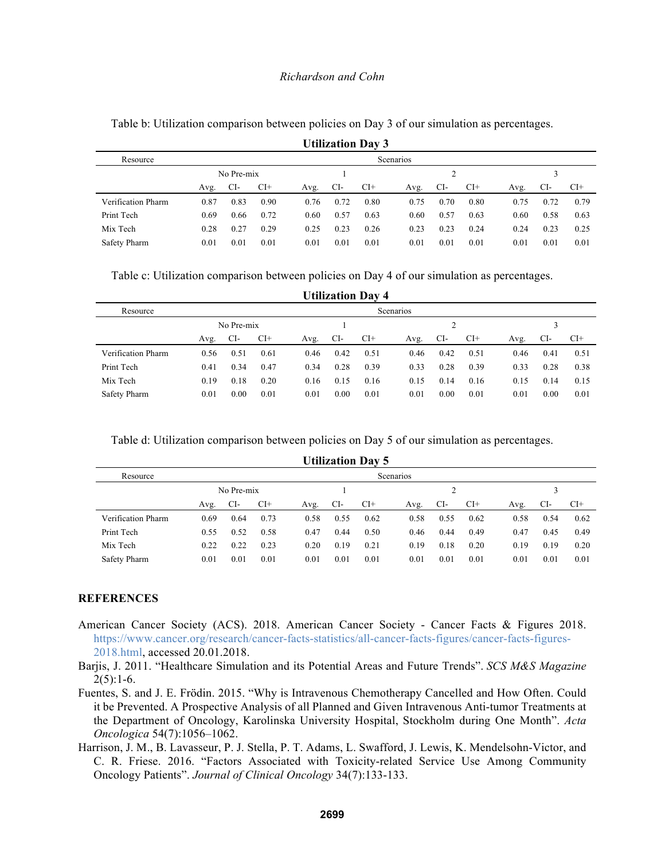|                    |                  |            |       |      |      | <b>Utilization Day 3</b> |      |      |       |      |      |       |  |
|--------------------|------------------|------------|-------|------|------|--------------------------|------|------|-------|------|------|-------|--|
| Resource           | <b>Scenarios</b> |            |       |      |      |                          |      |      |       |      |      |       |  |
|                    |                  | No Pre-mix |       |      |      |                          |      |      |       |      |      |       |  |
|                    | Avg.             | CI-        | $Cl+$ | Avg. | CI-  | $CI+$                    | Avg. | CI-  | $CI+$ | Avg. | CI-  | $CI+$ |  |
| Verification Pharm | 0.87             | 0.83       | 0.90  | 0.76 | 0.72 | 0.80                     | 0.75 | 0.70 | 0.80  | 0.75 | 0.72 | 0.79  |  |
| Print Tech         | 0.69             | 0.66       | 0.72  | 0.60 | 0.57 | 0.63                     | 0.60 | 0.57 | 0.63  | 0.60 | 0.58 | 0.63  |  |
| Mix Tech           | 0.28             | 0.27       | 0.29  | 0.25 | 0.23 | 0.26                     | 0.23 | 0.23 | 0.24  | 0.24 | 0.23 | 0.25  |  |
| Safety Pharm       | 0.01             | 0.01       | 0.01  | 0.01 | 0.01 | 0.01                     | 0.01 | 0.01 | 0.01  | 0.01 | 0.01 | 0.01  |  |

Table b: Utilization comparison between policies on Day 3 of our simulation as percentages.

Table c: Utilization comparison between policies on Day 4 of our simulation as percentages.

| <b>Utilization Day 4</b> |            |      |       |      |      |       |      |      |       |      |      |       |
|--------------------------|------------|------|-------|------|------|-------|------|------|-------|------|------|-------|
| Resource                 | Scenarios  |      |       |      |      |       |      |      |       |      |      |       |
|                          | No Pre-mix |      |       |      |      |       |      |      |       |      |      |       |
|                          | Avg.       | CI-  | $CI+$ | Avg. | CI-  | $CI+$ | Avg. | CI-  | $CI+$ | Avg. | CI-  | $CI+$ |
| Verification Pharm       | 0.56       | 0.51 | 0.61  | 0.46 | 0.42 | 0.51  | 0.46 | 0.42 | 0.51  | 0.46 | 0.41 | 0.51  |
| Print Tech               | 0.41       | 0.34 | 0.47  | 0.34 | 0.28 | 0.39  | 0.33 | 0.28 | 0.39  | 0.33 | 0.28 | 0.38  |
| Mix Tech                 | 0.19       | 0.18 | 0.20  | 0.16 | 0.15 | 0.16  | 0.15 | 0.14 | 0.16  | 0.15 | 0.14 | 0.15  |
| Safety Pharm             | 0.01       | 0.00 | 0.01  | 0.01 | 0.00 | 0.01  | 0.01 | 0.00 | 0.01  | 0.01 | 0.00 | 0.01  |

Table d: Utilization comparison between policies on Day 5 of our simulation as percentages.

| <b>Utilization Day 5</b> |                  |      |       |      |      |       |      |      |       |      |      |       |  |
|--------------------------|------------------|------|-------|------|------|-------|------|------|-------|------|------|-------|--|
| Resource                 | <b>Scenarios</b> |      |       |      |      |       |      |      |       |      |      |       |  |
|                          | No Pre-mix       |      |       |      |      |       |      |      |       |      |      |       |  |
|                          | Avg.             | CI-  | $CI+$ | Avg. | CI-  | $CI+$ | Avg. | CI-  | $CI+$ | Avg. | CI-  | $CI+$ |  |
| Verification Pharm       | 0.69             | 0.64 | 0.73  | 0.58 | 0.55 | 0.62  | 0.58 | 0.55 | 0.62  | 0.58 | 0.54 | 0.62  |  |
| Print Tech               | 0.55             | 0.52 | 0.58  | 0.47 | 0.44 | 0.50  | 0.46 | 0.44 | 0.49  | 0.47 | 0.45 | 0.49  |  |
| Mix Tech                 | 0.22             | 0.22 | 0.23  | 0.20 | 0.19 | 0.21  | 0.19 | 0.18 | 0.20  | 0.19 | 0.19 | 0.20  |  |
| Safety Pharm             | 0.01             | 0.01 | 0.01  | 0.01 | 0.01 | 0.01  | 0.01 | 0.01 | 0.01  | 0.01 | 0.01 | 0.01  |  |

#### **REFERENCES**

- American Cancer Society (ACS). 2018. American Cancer Society Cancer Facts & Figures 2018. https://www.cancer.org/research/cancer-facts-statistics/all-cancer-facts-figures/cancer-facts-figures-2018.html, accessed 20.01.2018.
- Barjis, J. 2011. "Healthcare Simulation and its Potential Areas and Future Trends". *SCS M&S Magazine*  $2(5):1-6.$
- Fuentes, S. and J. E. Frödin. 2015. "Why is Intravenous Chemotherapy Cancelled and How Often. Could it be Prevented. A Prospective Analysis of all Planned and Given Intravenous Anti-tumor Treatments at the Department of Oncology, Karolinska University Hospital, Stockholm during One Month". *Acta Oncologica* 54(7):1056–1062.
- Harrison, J. M., B. Lavasseur, P. J. Stella, P. T. Adams, L. Swafford, J. Lewis, K. Mendelsohn-Victor, and C. R. Friese. 2016. "Factors Associated with Toxicity-related Service Use Among Community Oncology Patients". *Journal of Clinical Oncology* 34(7):133-133.